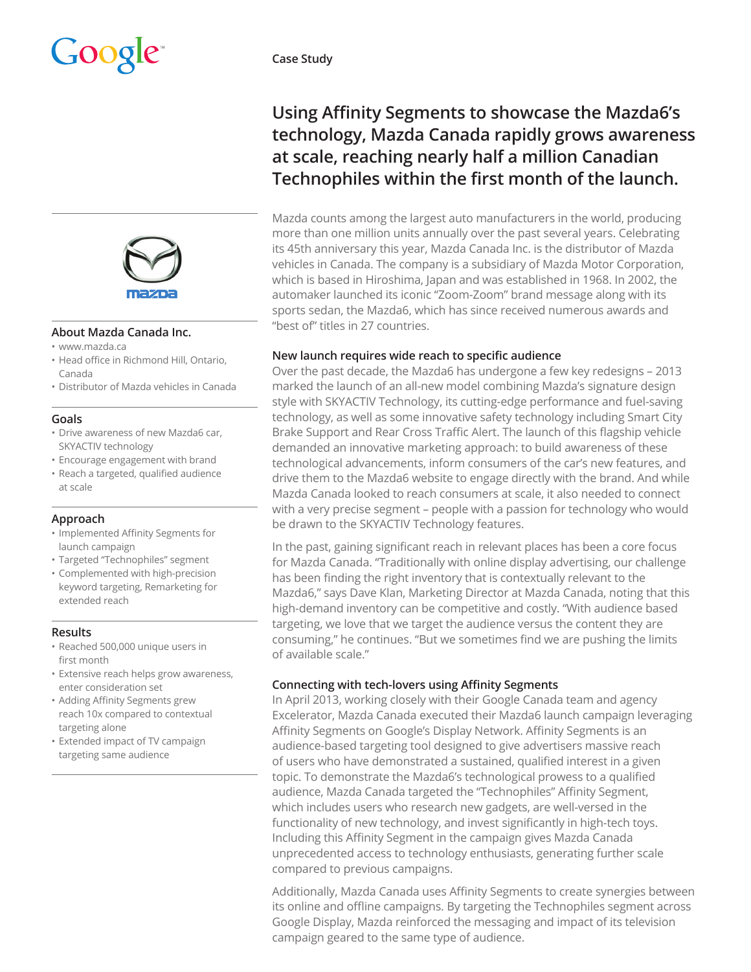

#### **About Mazda Canada Inc.**

- www.mazda.ca
- Head office in Richmond Hill, Ontario, Canada
- Distributor of Mazda vehicles in Canada

#### **Goals**

- Drive awareness of new Mazda6 car, SKYACTIV technology
- Encourage engagement with brand
- Reach a targeted, qualified audience at scale

## **Approach**

- Implemented Affinity Segments for launch campaign
- Targeted "Technophiles" segment
- Complemented with high-precision keyword targeting, Remarketing for extended reach

#### **Results**

- Reached 500,000 unique users in first month
- Extensive reach helps grow awareness, enter consideration set
- Adding Affinity Segments grew reach 10x compared to contextual targeting alone
- Extended impact of TV campaign targeting same audience

**Case Study** 

# **Using Affinity Segments to showcase the Mazda6's technology, Mazda Canada rapidly grows awareness at scale, reaching nearly half a million Canadian Technophiles within the first month of the launch.**

Mazda counts among the largest auto manufacturers in the world, producing more than one million units annually over the past several years. Celebrating its 45th anniversary this year, Mazda Canada Inc. is the distributor of Mazda vehicles in Canada. The company is a subsidiary of Mazda Motor Corporation, which is based in Hiroshima, Japan and was established in 1968. In 2002, the automaker launched its iconic "Zoom-Zoom" brand message along with its sports sedan, the Mazda6, which has since received numerous awards and "best of" titles in 27 countries.

## **New launch requires wide reach to specific audience**

Over the past decade, the Mazda6 has undergone a few key redesigns – 2013 marked the launch of an all-new model combining Mazda's signature design style with SKYACTIV Technology, its cutting-edge performance and fuel-saving technology, as well as some innovative safety technology including Smart City Brake Support and Rear Cross Traffic Alert. The launch of this flagship vehicle demanded an innovative marketing approach: to build awareness of these technological advancements, inform consumers of the car's new features, and drive them to the Mazda6 website to engage directly with the brand. And while Mazda Canada looked to reach consumers at scale, it also needed to connect with a very precise segment – people with a passion for technology who would be drawn to the SKYACTIV Technology features.

In the past, gaining significant reach in relevant places has been a core focus for Mazda Canada. "Traditionally with online display advertising, our challenge has been finding the right inventory that is contextually relevant to the Mazda6," says Dave Klan, Marketing Director at Mazda Canada, noting that this high-demand inventory can be competitive and costly. "With audience based targeting, we love that we target the audience versus the content they are consuming," he continues. "But we sometimes find we are pushing the limits of available scale."

# **Connecting with tech-lovers using Affinity Segments**

In April 2013, working closely with their Google Canada team and agency Excelerator, Mazda Canada executed their Mazda6 launch campaign leveraging Affinity Segments on Google's Display Network. Affinity Segments is an audience-based targeting tool designed to give advertisers massive reach of users who have demonstrated a sustained, qualified interest in a given topic. To demonstrate the Mazda6's technological prowess to a qualified audience, Mazda Canada targeted the "Technophiles" Affinity Segment, which includes users who research new gadgets, are well-versed in the functionality of new technology, and invest significantly in high-tech toys. Including this Affinity Segment in the campaign gives Mazda Canada unprecedented access to technology enthusiasts, generating further scale compared to previous campaigns.

Additionally, Mazda Canada uses Affinity Segments to create synergies between its online and offline campaigns. By targeting the Technophiles segment across Google Display, Mazda reinforced the messaging and impact of its television campaign geared to the same type of audience.